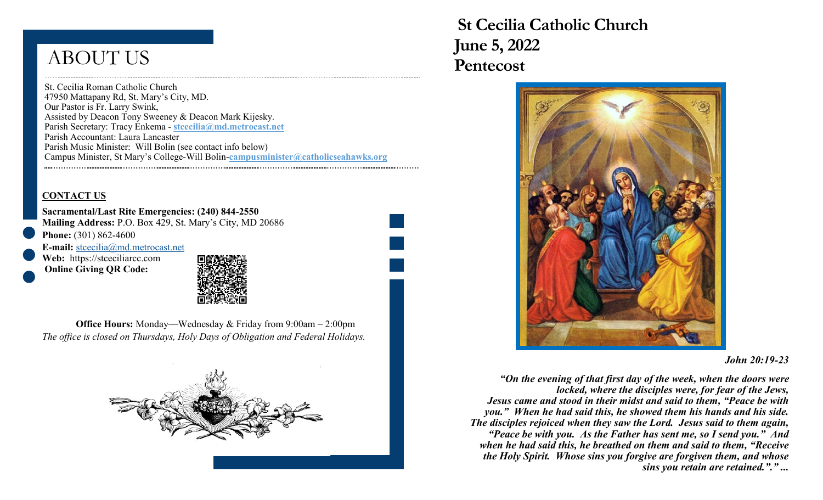# ABOUT US

St. Cecilia Roman Catholic Church 47950 Mattapany Rd, St. Mary's City, MD. Our Pastor is Fr. Larry Swink, Assisted by Deacon Tony Sweeney & Deacon Mark Kijesky. Parish Secretary: Tracy Enkema - **stcecilia@md.metrocast.net**  Parish Accountant: Laura Lancaster Parish Music Minister: Will Bolin (see contact info below) Campus Minister, St Mary's College-Will Bolin-**campusminister@catholicseahawks.org** 

#### **CONTACT US**

**Sacramental/Last Rite Emergencies: (240) 844-2550 Mailing Address:** P.O. Box 429, St. Mary's City, MD 20686 **Phone:** (301) 862-4600

**E-mail:** [stcecilia@md.metrocast.net](mailto:stcecilia@md.metrocast.net) Web: https://stceciliarcc.com

**Online Giving QR Code:**



**Office Hours:** Monday—Wednesday & Friday from 9:00am – 2:00pm *The office is closed on Thursdays, Holy Days of Obligation and Federal Holidays.*



 **St Cecilia Catholic Church June 5, 2022 Pentecost** 



#### *John 20:19-23*

*"On the evening of that first day of the week, when the doors were locked, where the disciples were, for fear of the Jews, Jesus came and stood in their midst and said to them, "Peace be with you." When he had said this, he showed them his hands and his side. The disciples rejoiced when they saw the Lord. Jesus said to them again, "Peace be with you. As the Father has sent me, so I send you." And when he had said this, he breathed on them and said to them, "Receive the Holy Spirit. Whose sins you forgive are forgiven them, and whose sins you retain are retained."." ...*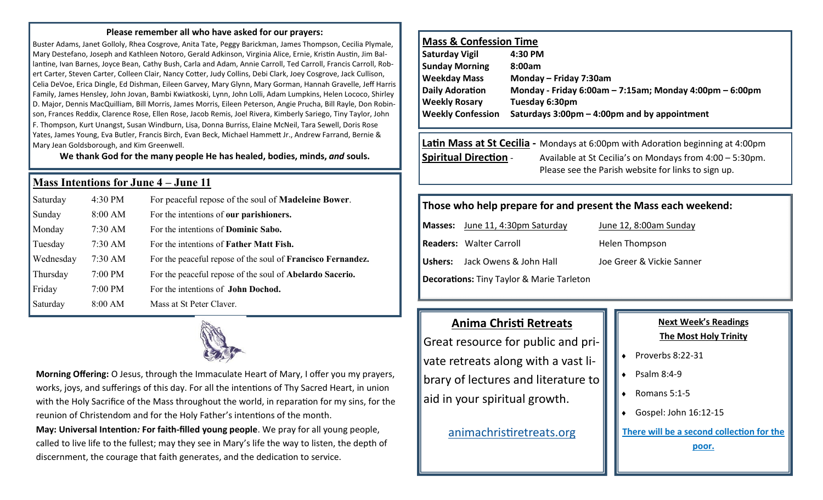#### **Please remember all who have asked for our prayers:**

Buster Adams, Janet Golloly, Rhea Cosgrove, Anita Tate, Peggy Barickman, James Thompson, Cecilia Plymale, Mary Destefano, Joseph and Kathleen Notoro, Gerald Adkinson, Virginia Alice, Ernie, Kristin Austin, Jim Ballantine, Ivan Barnes, Joyce Bean, Cathy Bush, Carla and Adam, Annie Carroll, Ted Carroll, Francis Carroll, Robert Carter, Steven Carter, Colleen Clair, Nancy Cotter, Judy Collins, Debi Clark, Joey Cosgrove, Jack Cullison, Celia DeVoe, Erica Dingle, Ed Dishman, Eileen Garvey, Mary Glynn, Mary Gorman, Hannah Gravelle, Jeff Harris Family, James Hensley, John Jovan, Bambi Kwiatkoski, Lynn, John Lolli, Adam Lumpkins, Helen Lococo, Shirley D. Major, Dennis MacQuilliam, Bill Morris, James Morris, Eileen Peterson, Angie Prucha, Bill Rayle, Don Robinson, Frances Reddix, Clarence Rose, Ellen Rose, Jacob Remis, Joel Rivera, Kimberly Sariego, Tiny Taylor, John F. Thompson, Kurt Unangst, Susan Windburn, Lisa, Donna Burriss, Elaine McNeil, Tara Sewell, Doris Rose Yates, James Young, Eva Butler, Francis Birch, Evan Beck, Michael Hammett Jr., Andrew Farrand, Bernie & Mary Jean Goldsborough, and Kim Greenwell.

**We thank God for the many people He has healed, bodies, minds,** *and* **souls.**

#### **Mass Intentions for June 4 – June 11**

| Saturday  | 4:30 PM   | For peaceful repose of the soul of <b>Madeleine Bower</b> .        |
|-----------|-----------|--------------------------------------------------------------------|
| Sunday    | 8:00 AM   | For the intentions of our parishioners.                            |
| Monday    | $7:30$ AM | For the intentions of <b>Dominic Sabo.</b>                         |
| Tuesday   | $7:30$ AM | For the intentions of <b>Father Matt Fish.</b>                     |
| Wednesday | $7:30$ AM | For the peaceful repose of the soul of <b>Francisco Fernandez.</b> |
| Thursday  | $7:00$ PM | For the peaceful repose of the soul of <b>Abelardo Sacerio.</b>    |
| Friday    | 7:00 PM   | For the intentions of <b>John Dochod.</b>                          |
| Saturday  | 8:00 AM   | Mass at St Peter Claver.                                           |



**Morning Offering:** O Jesus, through the Immaculate Heart of Mary, I offer you my prayers, works, joys, and sufferings of this day. For all the intentions of Thy Sacred Heart, in union with the Holy Sacrifice of the Mass throughout the world, in reparation for my sins, for the reunion of Christendom and for the Holy Father's intentions of the month. **May: Universal Intention***:* **For faith-filled young people**. We pray for all young people,

called to live life to the fullest; may they see in Mary's life the way to listen, the depth of discernment, the courage that faith generates, and the dedication to service.

## **Mass & Confession Time**

| Saturday Vigil           | 4:30 PM                                                        |
|--------------------------|----------------------------------------------------------------|
| <b>Sunday Morning</b>    | 8:00am                                                         |
| <b>Weekday Mass</b>      | Monday - Friday 7:30am                                         |
| <b>Daily Adoration</b>   | Monday - Friday 6:00am $-$ 7:15am; Monday 4:00pm $-$ 6:00pm    |
| <b>Weekly Rosary</b>     | Tuesday 6:30pm                                                 |
| <b>Weekly Confession</b> | Saturdays $3:00 \text{pm} - 4:00 \text{pm}$ and by appointment |
|                          |                                                                |

# **Latin Mass at St Cecilia -** Mondays at 6:00pm with Adoration beginning at 4:00pm **Spiritual Direction** - Available at St Cecilia's on Mondays from 4:00 – 5:30pm. Please see the Parish website for links to sign up.

#### **Those who help prepare for and present the Mass each weekend:**

**Masses:** June 11, 4:30pm Saturday June 12, 8:00am Sunday **Readers:** Walter Carroll **Readers:** Walter Carroll **Ushers:** Jack Owens & John Hall Joe Greer & Vickie Sanner

**Decorations:** Tiny Taylor & Marie Tarleton

# **Anima Christi Retreats**

Great resource for public and private retreats along with a vast library of lectures and literature to aid in your spiritual growth.

[animachristiretreats.org](https://www.animachristiretreats.org/) 

# **Next Week's Readings The Most Holy Trinity**

- $\bullet$  Proverbs 8:22-31
- $\bullet$  Psalm 8:4-9
- Romans 5:1-5
- Gospel: John 16:12-15

**There will be a second collection for the** 

**poor.**